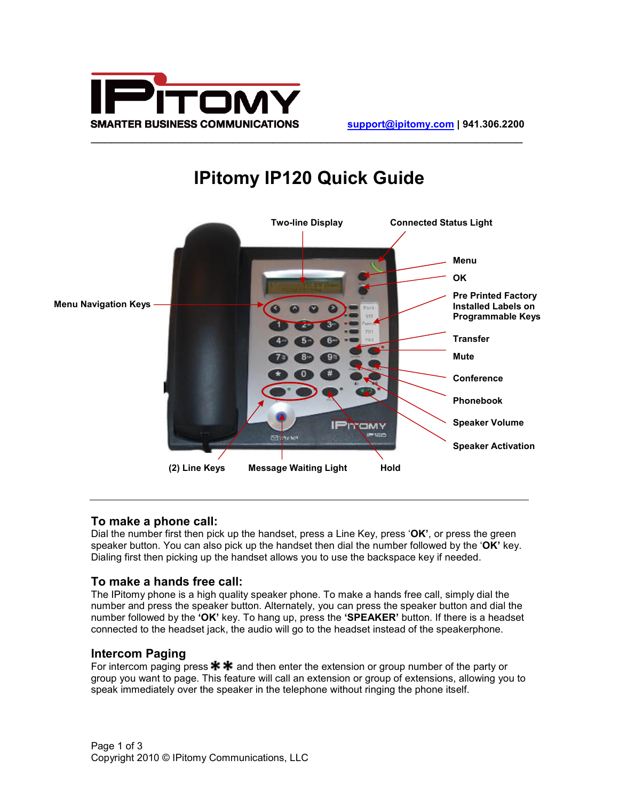



# **IPitomy IP120 Quick Guide**

#### **To make a phone call:**

Dial the number first then pick up the handset, press a Line Key, press '**OK'**, or press the green speaker button. You can also pick up the handset then dial the number followed by the '**OK'** key. Dialing first then picking up the handset allows you to use the backspace key if needed.

## **To make a hands free call:**

The IPitomy phone is a high quality speaker phone. To make a hands free call, simply dial the number and press the speaker button. Alternately, you can press the speaker button and dial the number followed by the **'OK'** key. To hang up, press the **'SPEAKER'** button. If there is a headset connected to the headset jack, the audio will go to the headset instead of the speakerphone.

## **Intercom Paging**

For intercom paging press  $* *$  and then enter the extension or group number of the party or group you want to page. This feature will call an extension or group of extensions, allowing you to speak immediately over the speaker in the telephone without ringing the phone itself.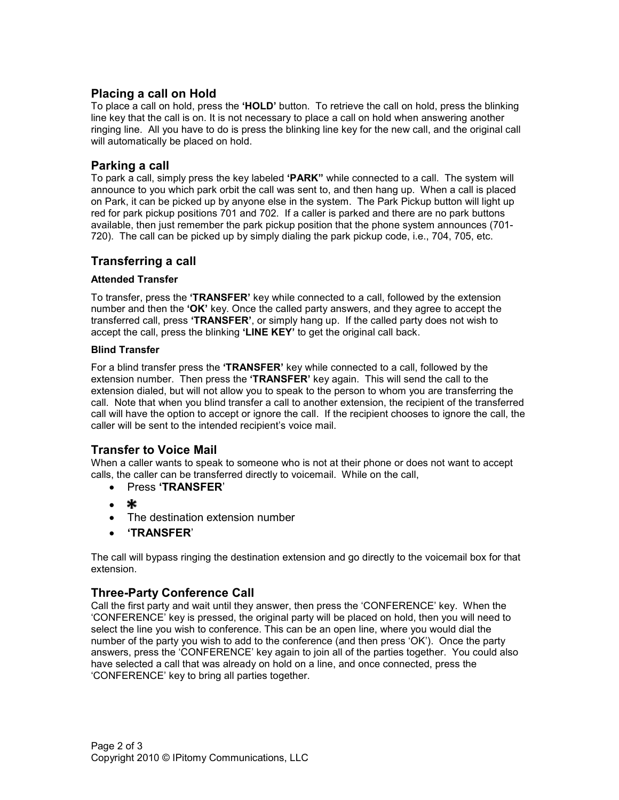# **Placing a call on Hold**

To place a call on hold, press the **'HOLD'** button. To retrieve the call on hold, press the blinking line key that the call is on. It is not necessary to place a call on hold when answering another ringing line. All you have to do is press the blinking line key for the new call, and the original call will automatically be placed on hold.

## **Parking a call**

To park a call, simply press the key labeled **'PARK"** while connected to a call. The system will announce to you which park orbit the call was sent to, and then hang up. When a call is placed on Park, it can be picked up by anyone else in the system. The Park Pickup button will light up red for park pickup positions 701 and 702. If a caller is parked and there are no park buttons available, then just remember the park pickup position that the phone system announces (701- 720). The call can be picked up by simply dialing the park pickup code, i.e., 704, 705, etc.

## **Transferring a call**

#### **Attended Transfer**

To transfer, press the **'TRANSFER'** key while connected to a call, followed by the extension number and then the **'OK'** key. Once the called party answers, and they agree to accept the transferred call, press **'TRANSFER'**, or simply hang up. If the called party does not wish to accept the call, press the blinking **'LINE KEY'** to get the original call back.

#### **Blind Transfer**

For a blind transfer press the **'TRANSFER'** key while connected to a call, followed by the extension number. Then press the **'TRANSFER'** key again. This will send the call to the extension dialed, but will not allow you to speak to the person to whom you are transferring the call. Note that when you blind transfer a call to another extension, the recipient of the transferred call will have the option to accept or ignore the call. If the recipient chooses to ignore the call, the caller will be sent to the intended recipient's voice mail.

## **Transfer to Voice Mail**

When a caller wants to speak to someone who is not at their phone or does not want to accept calls, the caller can be transferred directly to voicemail. While on the call,

- Press **'TRANSFER**'
- \*
- The destination extension number
- **'TRANSFER**'

The call will bypass ringing the destination extension and go directly to the voicemail box for that extension.

## **Three-Party Conference Call**

Call the first party and wait until they answer, then press the 'CONFERENCE' key. When the 'CONFERENCE' key is pressed, the original party will be placed on hold, then you will need to select the line you wish to conference. This can be an open line, where you would dial the number of the party you wish to add to the conference (and then press 'OK'). Once the party answers, press the 'CONFERENCE' key again to join all of the parties together. You could also have selected a call that was already on hold on a line, and once connected, press the 'CONFERENCE' key to bring all parties together.